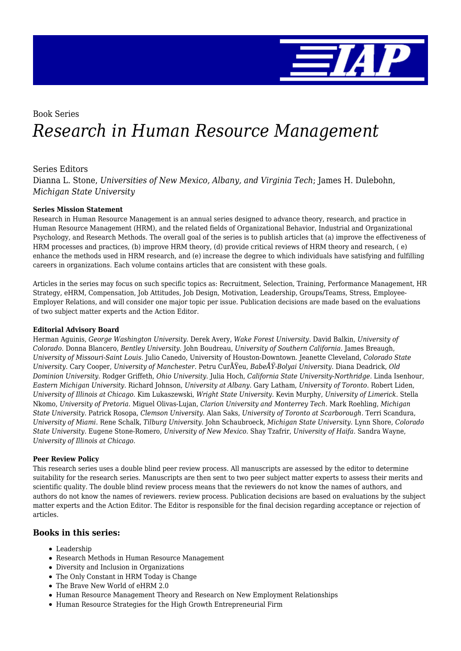

# Book Series *Research in Human Resource Management*

### Series Editors

Dianna L. Stone, *Universities of New Mexico, Albany, and Virginia Tech*; James H. Dulebohn, *Michigan State University*

### **Series Mission Statement**

Research in Human Resource Management is an annual series designed to advance theory, research, and practice in Human Resource Management (HRM), and the related fields of Organizational Behavior, Industrial and Organizational Psychology, and Research Methods. The overall goal of the series is to publish articles that (a) improve the effectiveness of HRM processes and practices, (b) improve HRM theory, (d) provide critical reviews of HRM theory and research, ( e) enhance the methods used in HRM research, and (e) increase the degree to which individuals have satisfying and fulfilling careers in organizations. Each volume contains articles that are consistent with these goals.

Articles in the series may focus on such specific topics as: Recruitment, Selection, Training, Performance Management, HR Strategy, eHRM, Compensation, Job Attitudes, Job Design, Motivation, Leadership, Groups/Teams, Stress, Employee-Employer Relations, and will consider one major topic per issue. Publication decisions are made based on the evaluations of two subject matter experts and the Action Editor.

#### **Editorial Advisory Board**

Herman Aguinis, *George Washington University.* Derek Avery, *Wake Forest University.* David Balkin, *University of Colorado.* Donna Blancero, *Bentley University.* John Boudreau, *University of Southern California.* James Breaugh, *University of Missouri-Saint Louis.* Julio Canedo, University of Houston-Downtown. Jeanette Cleveland, *Colorado State University.* Cary Cooper, *University of Manchester.* Petru CurÅŸeu, *BabeÅŸ-Bolyai University.* Diana Deadrick, *Old Dominion University.* Rodger Griffeth, *Ohio University.* Julia Hoch, *California State University-Northridge.* Linda Isenhour, *Eastern Michigan University.* Richard Johnson, *University at Albany.* Gary Latham, *University of Toronto.* Robert Liden, *University of Illinois at Chicago.* Kim Lukaszewski, *Wright State University.* Kevin Murphy, *University of Limerick.* Stella Nkomo, *University of Pretoria.* Miguel Olivas-Lujan, *Clarion University and Monterrey Tech.* Mark Roehling, *Michigan State University.* Patrick Rosopa, *Clemson University.* Alan Saks, *University of Toronto at Scarborough.* Terri Scandura, *University of Miami.* Rene Schalk, *Tilburg University.* John Schaubroeck, *Michigan State University.* Lynn Shore, *Colorado State University.* Eugene Stone-Romero, *University of New Mexico.* Shay Tzafrir, *University of Haifa.* Sandra Wayne, *University of Illinois at Chicago.*

#### **Peer Review Policy**

This research series uses a double blind peer review process. All manuscripts are assessed by the editor to determine suitability for the research series. Manuscripts are then sent to two peer subject matter experts to assess their merits and scientific quality. The double blind review process means that the reviewers do not know the names of authors, and authors do not know the names of reviewers. review process. Publication decisions are based on evaluations by the subject matter experts and the Action Editor. The Editor is responsible for the final decision regarding acceptance or rejection of articles.

### **Books in this series:**

- Leadership
- Research Methods in Human Resource Management
- Diversity and Inclusion in Organizations
- The Only Constant in HRM Today is Change
- The Brave New World of eHRM 2.0
- Human Resource Management Theory and Research on New Employment Relationships
- Human Resource Strategies for the High Growth Entrepreneurial Firm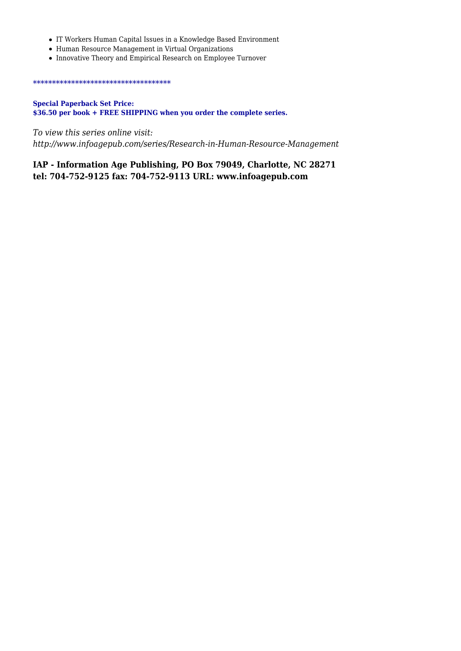- IT Workers Human Capital Issues in a Knowledge Based Environment
- Human Resource Management in Virtual Organizations
- Innovative Theory and Empirical Research on Employee Turnover

#### \*\*\*\*\*\*\*\*\*\*\*\*\*\*\*\*\*\*\*\*\*\*\*\*\*\*\*\*\*\*\*\*\*\*\*\*

### **Special Paperback Set Price: \$36.50 per book + FREE SHIPPING when you order the complete series.**

*To view this series online visit: http://www.infoagepub.com/series/Research-in-Human-Resource-Management*

### **IAP - Information Age Publishing, PO Box 79049, Charlotte, NC 28271 tel: 704-752-9125 fax: 704-752-9113 URL: www.infoagepub.com**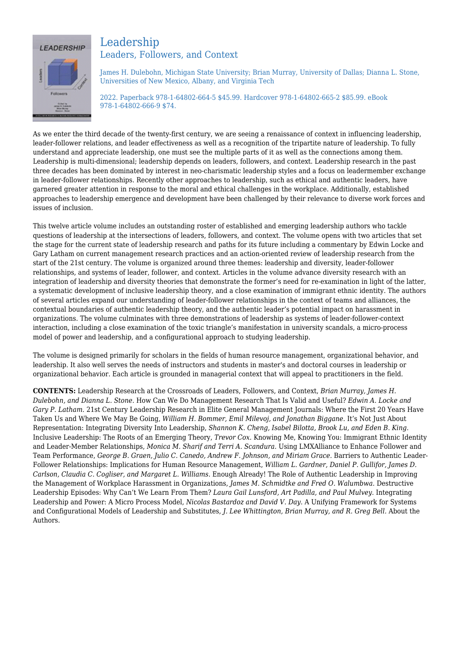

### Leadership Leaders, Followers, and Context

James H. Dulebohn, Michigan State University; Brian Murray, University of Dallas; Dianna L. Stone, Universities of New Mexico, Albany, and Virginia Tech

2022. Paperback 978-1-64802-664-5 \$45.99. Hardcover 978-1-64802-665-2 \$85.99. eBook 978-1-64802-666-9 \$74.

As we enter the third decade of the twenty-first century, we are seeing a renaissance of context in influencing leadership, leader-follower relations, and leader effectiveness as well as a recognition of the tripartite nature of leadership. To fully understand and appreciate leadership, one must see the multiple parts of it as well as the connections among them. Leadership is multi-dimensional; leadership depends on leaders, followers, and context. Leadership research in the past three decades has been dominated by interest in neo-charismatic leadership styles and a focus on leadermember exchange in leader-follower relationships. Recently other approaches to leadership, such as ethical and authentic leaders, have garnered greater attention in response to the moral and ethical challenges in the workplace. Additionally, established approaches to leadership emergence and development have been challenged by their relevance to diverse work forces and issues of inclusion.

This twelve article volume includes an outstanding roster of established and emerging leadership authors who tackle questions of leadership at the intersections of leaders, followers, and context. The volume opens with two articles that set the stage for the current state of leadership research and paths for its future including a commentary by Edwin Locke and Gary Latham on current management research practices and an action-oriented review of leadership research from the start of the 21st century. The volume is organized around three themes: leadership and diversity, leader-follower relationships, and systems of leader, follower, and context. Articles in the volume advance diversity research with an integration of leadership and diversity theories that demonstrate the former's need for re-examination in light of the latter, a systematic development of inclusive leadership theory, and a close examination of immigrant ethnic identity. The authors of several articles expand our understanding of leader-follower relationships in the context of teams and alliances, the contextual boundaries of authentic leadership theory, and the authentic leader's potential impact on harassment in organizations. The volume culminates with three demonstrations of leadership as systems of leader-follower-context interaction, including a close examination of the toxic triangle's manifestation in university scandals, a micro-process model of power and leadership, and a configurational approach to studying leadership.

The volume is designed primarily for scholars in the fields of human resource management, organizational behavior, and leadership. It also well serves the needs of instructors and students in master's and doctoral courses in leadership or organizational behavior. Each article is grounded in managerial context that will appeal to practitioners in the field.

**CONTENTS:** Leadership Research at the Crossroads of Leaders, Followers, and Context, *Brian Murray, James H. Dulebohn, and Dianna L. Stone.* How Can We Do Management Research That Is Valid and Useful? *Edwin A. Locke and Gary P. Latham.* 21st Century Leadership Research in Elite General Management Journals: Where the First 20 Years Have Taken Us and Where We May Be Going, *William H. Bommer, Emil Milevoj, and Jonathan Biggane.* It's Not Just About Representation: Integrating Diversity Into Leadership, *Shannon K. Cheng, Isabel Bilotta, Brook Lu, and Eden B. King.* Inclusive Leadership: The Roots of an Emerging Theory, *Trevor Cox.* Knowing Me, Knowing You: Immigrant Ethnic Identity and Leader-Member Relationships, *Monica M. Sharif and Terri A. Scandura.* Using LMXAlliance to Enhance Follower and Team Performance, *George B. Graen, Julio C. Canedo, Andrew F. Johnson, and Miriam Grace.* Barriers to Authentic Leader-Follower Relationships: Implications for Human Resource Management, *William L. Gardner, Daniel P. Gullifor, James D. Carlson, Claudia C. Cogliser, and Margaret L. Williams.* Enough Already! The Role of Authentic Leadership in Improving the Management of Workplace Harassment in Organizations, *James M. Schmidtke and Fred O. Walumbwa.* Destructive Leadership Episodes: Why Can't We Learn From Them? *Laura Gail Lunsford, Art Padilla, and Paul Mulvey.* Integrating Leadership and Power: A Micro Process Model, *Nicolas Bastardoz and David V. Day.* A Unifying Framework for Systems and Configurational Models of Leadership and Substitutes, *J. Lee Whittington, Brian Murray, and R. Greg Bell.* About the Authors.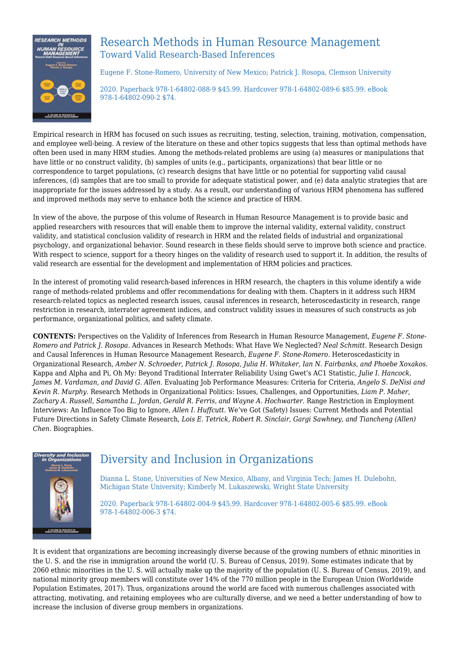

### Research Methods in Human Resource Management Toward Valid Research-Based Inferences

Eugene F. Stone-Romero, University of New Mexico; Patrick J. Rosopa, Clemson University

2020. Paperback 978-1-64802-088-9 \$45.99. Hardcover 978-1-64802-089-6 \$85.99. eBook 978-1-64802-090-2 \$74.

Empirical research in HRM has focused on such issues as recruiting, testing, selection, training, motivation, compensation, and employee well-being. A review of the literature on these and other topics suggests that less than optimal methods have often been used in many HRM studies. Among the methods-related problems are using (a) measures or manipulations that have little or no construct validity, (b) samples of units (e.g., participants, organizations) that bear little or no correspondence to target populations, (c) research designs that have little or no potential for supporting valid causal inferences, (d) samples that are too small to provide for adequate statistical power, and (e) data analytic strategies that are inappropriate for the issues addressed by a study. As a result, our understanding of various HRM phenomena has suffered and improved methods may serve to enhance both the science and practice of HRM.

In view of the above, the purpose of this volume of Research in Human Resource Management is to provide basic and applied researchers with resources that will enable them to improve the internal validity, external validity, construct validity, and statistical conclusion validity of research in HRM and the related fields of industrial and organizational psychology, and organizational behavior. Sound research in these fields should serve to improve both science and practice. With respect to science, support for a theory hinges on the validity of research used to support it. In addition, the results of valid research are essential for the development and implementation of HRM policies and practices.

In the interest of promoting valid research-based inferences in HRM research, the chapters in this volume identify a wide range of methods-related problems and offer recommendations for dealing with them. Chapters in it address such HRM research-related topics as neglected research issues, causal inferences in research, heteroscedasticity in research, range restriction in research, interrater agreement indices, and construct validity issues in measures of such constructs as job performance, organizational politics, and safety climate.

**CONTENTS:** Perspectives on the Validity of Inferences from Research in Human Resource Management, *Eugene F. Stone-Romero and Patrick J. Rosopa.* Advances in Research Methods: What Have We Neglected? *Neal Schmitt.* Research Design and Causal Inferences in Human Resource Management Research, *Eugene F. Stone-Romero.* Heteroscedasticity in Organizational Research, *Amber N. Schroeder, Patrick J. Rosopa, Julia H. Whitaker, Ian N. Fairbanks, and Phoebe Xoxakos.* Kappa and Alpha and Pi, Oh My: Beyond Traditional Interrater Reliability Using Gwet's AC1 Statistic, *Julie I. Hancock, James M. Vardaman, and David G. Allen.* Evaluating Job Performance Measures: Criteria for Criteria, *Angelo S. DeNisi and Kevin R. Murphy.* Research Methods in Organizational Politics: Issues, Challenges, and Opportunities, *Liam P. Maher, Zachary A. Russell, Samantha L. Jordan, Gerald R. Ferris, and Wayne A. Hochwarter.* Range Restriction in Employment Interviews: An Influence Too Big to Ignore, *Allen I. Huffcutt.* We've Got (Safety) Issues: Current Methods and Potential Future Directions in Safety Climate Research, *Lois E. Tetrick, Robert R. Sinclair, Gargi Sawhney, and Tiancheng (Allen) Chen.* Biographies.



# Diversity and Inclusion in Organizations

Dianna L. Stone, Universities of New Mexico, Albany, and Virginia Tech; James H. Dulebohn, Michigan State University; Kimberly M. Lukaszewski, Wright State University

2020. Paperback 978-1-64802-004-9 \$45.99. Hardcover 978-1-64802-005-6 \$85.99. eBook 978-1-64802-006-3 \$74.

It is evident that organizations are becoming increasingly diverse because of the growing numbers of ethnic minorities in the U. S. and the rise in immigration around the world (U. S. Bureau of Census, 2019). Some estimates indicate that by 2060 ethnic minorities in the U. S. will actually make up the majority of the population (U. S. Bureau of Census, 2019), and national minority group members will constitute over 14% of the 770 million people in the European Union (Worldwide Population Estimates, 2017). Thus, organizations around the world are faced with numerous challenges associated with attracting, motivating, and retaining employees who are culturally diverse, and we need a better understanding of how to increase the inclusion of diverse group members in organizations.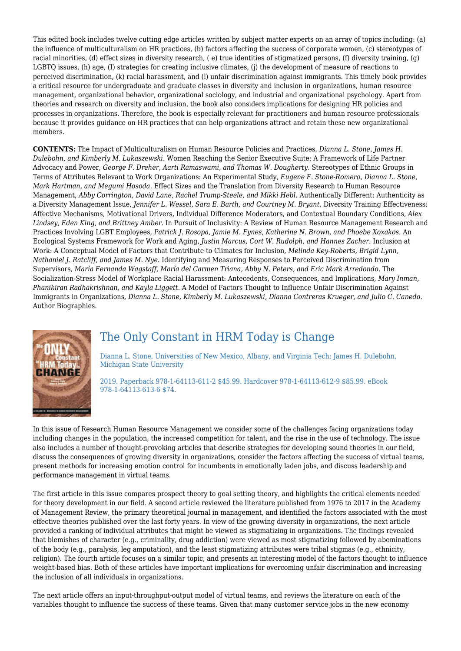This edited book includes twelve cutting edge articles written by subject matter experts on an array of topics including: (a) the influence of multiculturalism on HR practices, (b) factors affecting the success of corporate women, (c) stereotypes of racial minorities, (d) effect sizes in diversity research, ( e) true identities of stigmatized persons, (f) diversity training, (g) LGBTQ issues, (h) age, (I) strategies for creating inclusive climates, (j) the development of measure of reactions to perceived discrimination, (k) racial harassment, and (l) unfair discrimination against immigrants. This timely book provides a critical resource for undergraduate and graduate classes in diversity and inclusion in organizations, human resource management, organizational behavior, organizational sociology, and industrial and organizational psychology. Apart from theories and research on diversity and inclusion, the book also considers implications for designing HR policies and processes in organizations. Therefore, the book is especially relevant for practitioners and human resource professionals because it provides guidance on HR practices that can help organizations attract and retain these new organizational members.

**CONTENTS:** The Impact of Multiculturalism on Human Resource Policies and Practices, *Dianna L. Stone, James H. Dulebohn, and Kimberly M. Lukaszewski.* Women Reaching the Senior Executive Suite: A Framework of Life Partner Advocacy and Power, *George F. Dreher, Aarti Ramaswami, and Thomas W. Dougherty.* Stereotypes of Ethnic Groups in Terms of Attributes Relevant to Work Organizations: An Experimental Study, *Eugene F. Stone-Romero, Dianna L. Stone, Mark Hartman, and Megumi Hosoda.* Effect Sizes and the Translation from Diversity Research to Human Resource Management, *Abby Corrington, David Lane, Rachel Trump-Steele, and Mikki Hebl.* Authentically Different: Authenticity as a Diversity Management Issue, *Jennifer L. Wessel, Sara E. Barth, and Courtney M. Bryant.* Diversity Training Effectiveness: Affective Mechanisms, Motivational Drivers, Individual Difference Moderators, and Contextual Boundary Conditions, *Alex Lindsey, Eden King, and Brittney Amber.* In Pursuit of Inclusivity: A Review of Human Resource Management Research and Practices Involving LGBT Employees, *Patrick J. Rosopa, Jamie M. Fynes, Katherine N. Brown, and Phoebe Xoxakos.* An Ecological Systems Framework for Work and Aging, *Justin Marcus, Cort W. Rudolph, and Hannes Zacher.* Inclusion at Work: A Conceptual Model of Factors that Contribute to Climates for Inclusion, *Melinda Key-Roberts, Brigid Lynn, Nathaniel J. Ratcliff, and James M. Nye.* Identifying and Measuring Responses to Perceived Discrimination from Supervisors, *María Fernanda Wagstaff, María del Carmen Triana, Abby N. Peters, and Eric Mark Arredondo.* The Socialization-Stress Model of Workplace Racial Harassment: Antecedents, Consequences, and Implications, *Mary Inman, Phanikiran Radhakrishnan, and Kayla Liggett.* A Model of Factors Thought to Influence Unfair Discrimination Against Immigrants in Organizations, *Dianna L. Stone, Kimberly M. Lukaszewski, Dianna Contreras Krueger, and Julio C. Canedo.* Author Biographies.



### The Only Constant in HRM Today is Change

Dianna L. Stone, Universities of New Mexico, Albany, and Virginia Tech; James H. Dulebohn, Michigan State University

2019. Paperback 978-1-64113-611-2 \$45.99. Hardcover 978-1-64113-612-9 \$85.99. eBook 978-1-64113-613-6 \$74.

In this issue of Research Human Resource Management we consider some of the challenges facing organizations today including changes in the population, the increased competition for talent, and the rise in the use of technology. The issue also includes a number of thought-provoking articles that describe strategies for developing sound theories in our field, discuss the consequences of growing diversity in organizations, consider the factors affecting the success of virtual teams, present methods for increasing emotion control for incumbents in emotionally laden jobs, and discuss leadership and performance management in virtual teams.

The first article in this issue compares prospect theory to goal setting theory, and highlights the critical elements needed for theory development in our field. A second article reviewed the literature published from 1976 to 2017 in the Academy of Management Review, the primary theoretical journal in management, and identified the factors associated with the most effective theories published over the last forty years. In view of the growing diversity in organizations, the next article provided a ranking of individual attributes that might be viewed as stigmatizing in organizations. The findings revealed that blemishes of character (e.g., criminality, drug addiction) were viewed as most stigmatizing followed by abominations of the body (e.g., paralysis, leg amputation), and the least stigmatizing attributes were tribal stigmas (e.g., ethnicity, religion). The fourth article focuses on a similar topic, and presents an interesting model of the factors thought to influence weight-based bias. Both of these articles have important implications for overcoming unfair discrimination and increasing the inclusion of all individuals in organizations.

The next article offers an input-throughput-output model of virtual teams, and reviews the literature on each of the variables thought to influence the success of these teams. Given that many customer service jobs in the new economy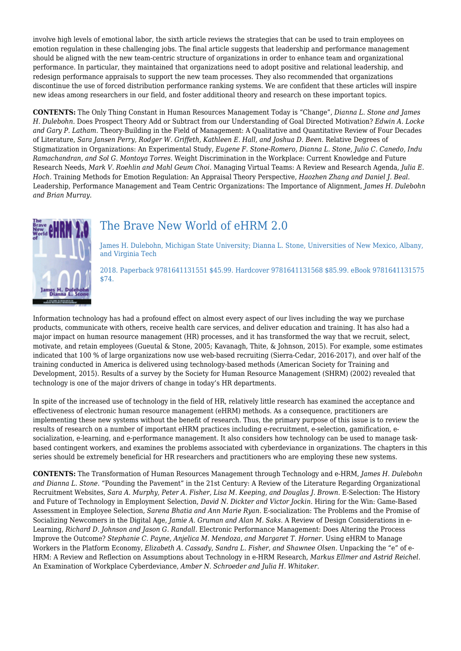involve high levels of emotional labor, the sixth article reviews the strategies that can be used to train employees on emotion regulation in these challenging jobs. The final article suggests that leadership and performance management should be aligned with the new team-centric structure of organizations in order to enhance team and organizational performance. In particular, they maintained that organizations need to adopt positive and relational leadership, and redesign performance appraisals to support the new team processes. They also recommended that organizations discontinue the use of forced distribution performance ranking systems. We are confident that these articles will inspire new ideas among researchers in our field, and foster additional theory and research on these important topics.

**CONTENTS:** The Only Thing Constant in Human Resources Management Today is "Change", *Dianna L. Stone and James H. Dulebohn.* Does Prospect Theory Add or Subtract from our Understanding of Goal Directed Motivation? *Edwin A. Locke and Gary P. Latham.* Theory-Building in the Field of Management: A Qualitative and Quantitative Review of Four Decades of Literature, *Sara Jansen Perry, Rodger W. Griffeth, Kathleen E. Hall, and Joshua D. Been.* Relative Degrees of Stigmatization in Organizations: An Experimental Study, *Eugene F. Stone-Romero, Dianna L. Stone, Julio C. Canedo, Indu Ramachandran, and Sol G. Montoya Torres.* Weight Discrimination in the Workplace: Current Knowledge and Future Research Needs, *Mark V. Roehlin and Mahl Geum Choi.* Managing Virtual Teams: A Review and Research Agenda, *Julia E. Hoch.* Training Methods for Emotion Regulation: An Appraisal Theory Perspective, *Haozhen Zhang and Daniel J. Beal.* Leadership, Performance Management and Team Centric Organizations: The Importance of Alignment, *James H. Dulebohn and Brian Murray.*



# The Brave New World of eHRM 2.0

James H. Dulebohn, Michigan State University; Dianna L. Stone, Universities of New Mexico, Albany, and Virginia Tech

2018. Paperback 9781641131551 \$45.99. Hardcover 9781641131568 \$85.99. eBook 9781641131575 \$74.

Information technology has had a profound effect on almost every aspect of our lives including the way we purchase products, communicate with others, receive health care services, and deliver education and training. It has also had a major impact on human resource management (HR) processes, and it has transformed the way that we recruit, select, motivate, and retain employees (Gueutal & Stone, 2005; Kavanagh, Thite, & Johnson, 2015). For example, some estimates indicated that 100 % of large organizations now use web-based recruiting (Sierra-Cedar, 2016-2017), and over half of the training conducted in America is delivered using technology-based methods (American Society for Training and Development, 2015). Results of a survey by the Society for Human Resource Management (SHRM) (2002) revealed that technology is one of the major drivers of change in today's HR departments.

In spite of the increased use of technology in the field of HR, relatively little research has examined the acceptance and effectiveness of electronic human resource management (eHRM) methods. As a consequence, practitioners are implementing these new systems without the benefit of research. Thus, the primary purpose of this issue is to review the results of research on a number of important eHRM practices including e-recruitment, e-selection, gamification, esocialization, e-learning, and e-performance management. It also considers how technology can be used to manage taskbased contingent workers, and examines the problems associated with cyberdeviance in organizations. The chapters in this series should be extremely beneficial for HR researchers and practitioners who are employing these new systems.

**CONTENTS:** The Transformation of Human Resources Management through Technology and e-HRM, *James H. Dulebohn and Dianna L. Stone.* "Pounding the Pavement" in the 21st Century: A Review of the Literature Regarding Organizational Recruitment Websites, *Sara A. Murphy, Peter A. Fisher, Lisa M. Keeping, and Douglas J. Brown.* E-Selection: The History and Future of Technology in Employment Selection, *David N. Dickter and Victor Jockin.* Hiring for the Win: Game-Based Assessment in Employee Selection, *Sarena Bhatia and Ann Marie Ryan.* E-socialization: The Problems and the Promise of Socializing Newcomers in the Digital Age, *Jamie A. Gruman and Alan M. Saks.* A Review of Design Considerations in e-Learning, *Richard D. Johnson and Jason G. Randall.* Electronic Performance Management: Does Altering the Process Improve the Outcome? *Stephanie C. Payne, Anjelica M. Mendoza, and Margaret T. Horner.* Using eHRM to Manage Workers in the Platform Economy, *Elizabeth A. Cassady, Sandra L. Fisher, and Shawnee Olsen.* Unpacking the "e" of e-HRM: A Review and Reflection on Assumptions about Technology in e-HRM Research, *Markus Ellmer and Astrid Reichel.* An Examination of Workplace Cyberdeviance, *Amber N. Schroeder and Julia H. Whitaker.*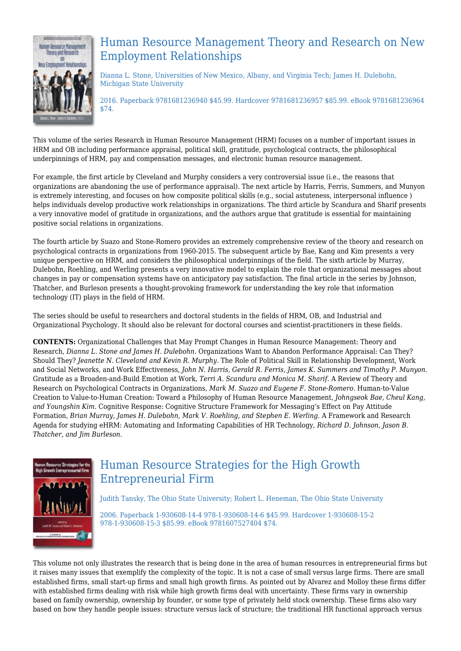

# Human Resource Management Theory and Research on New Employment Relationships

Dianna L. Stone, Universities of New Mexico, Albany, and Virginia Tech; James H. Dulebohn, Michigan State University

2016. Paperback 9781681236940 \$45.99. Hardcover 9781681236957 \$85.99. eBook 9781681236964 \$74.

This volume of the series Research in Human Resource Management (HRM) focuses on a number of important issues in HRM and OB including performance appraisal, political skill, gratitude, psychological contracts, the philosophical underpinnings of HRM, pay and compensation messages, and electronic human resource management.

For example, the first article by Cleveland and Murphy considers a very controversial issue (i.e., the reasons that organizations are abandoning the use of performance appraisal). The next article by Harris, Ferris, Summers, and Munyon is extremely interesting, and focuses on how composite political skills (e.g., social astuteness, interpersonal influence ) helps individuals develop productive work relationships in organizations. The third article by Scandura and Sharif presents a very innovative model of gratitude in organizations, and the authors argue that gratitude is essential for maintaining positive social relations in organizations.

The fourth article by Suazo and Stone-Romero provides an extremely comprehensive review of the theory and research on psychological contracts in organizations from 1960-2015. The subsequent article by Bae, Kang and Kim presents a very unique perspective on HRM, and considers the philosophical underpinnings of the field. The sixth article by Murray, Dulebohn, Roehling, and Werling presents a very innovative model to explain the role that organizational messages about changes in pay or compensation systems have on anticipatory pay satisfaction. The final article in the series by Johnson, Thatcher, and Burleson presents a thought-provoking framework for understanding the key role that information technology (IT) plays in the field of HRM.

The series should be useful to researchers and doctoral students in the fields of HRM, OB, and Industrial and Organizational Psychology. It should also be relevant for doctoral courses and scientist-practitioners in these fields.

**CONTENTS:** Organizational Challenges that May Prompt Changes in Human Resource Management: Theory and Research, *Dianna L. Stone and James H. Dulebohn.* Organizations Want to Abandon Performance Appraisal: Can They? Should They? *Jeanette N. Cleveland and Kevin R. Murphy.* The Role of Political Skill in Relationship Development, Work and Social Networks, and Work Effectiveness, *John N. Harris, Gerald R. Ferris, James K. Summers and Timothy P. Munyon.* Gratitude as a Broaden-and-Build Emotion at Work, *Terri A. Scandura and Monica M. Sharif.* A Review of Theory and Research on Psychological Contracts in Organizations, *Mark M. Suazo and Eugene F. Stone-Romero.* Human-to-Value Creation to Value-to-Human Creation: Toward a Philosophy of Human Resource Management, *Johngseok Bae, Cheul Kang, and Youngshin Kim.* Cognitive Response: Cognitive Structure Framework for Messaging's Effect on Pay Attitude Formation, *Brian Murray, James H. Dulebohn, Mark V. Roehling, and Stephen E. Werling.* A Framework and Research Agenda for studying eHRM: Automating and Informating Capabilities of HR Technology, *Richard D. Johnson, Jason B. Thatcher, and Jim Burleson.*



# Human Resource Strategies for the High Growth Entrepreneurial Firm

Judith Tansky, The Ohio State University; Robert L. Heneman, The Ohio State University

2006. Paperback 1-930608-14-4 978-1-930608-14-6 \$45.99. Hardcover 1-930608-15-2 978-1-930608-15-3 \$85.99. eBook 9781607527404 \$74.

This volume not only illustrates the research that is being done in the area of human resources in entrepreneurial firms but it raises many issues that exemplify the complexity of the topic. It is not a case of small versus large firms. There are small established firms, small start-up firms and small high growth firms. As pointed out by Alvarez and Molloy these firms differ with established firms dealing with risk while high growth firms deal with uncertainty. These firms vary in ownership based on family ownership, ownership by founder, or some type of privately held stock ownership. These firms also vary based on how they handle people issues: structure versus lack of structure; the traditional HR functional approach versus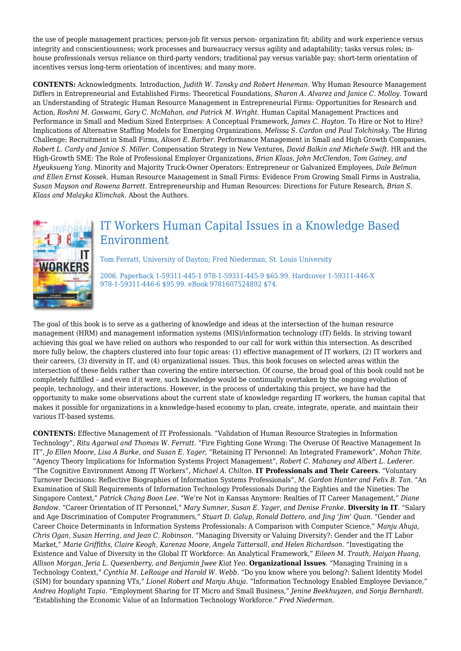the use of people management practices; person-job fit versus person- organization fit; ability and work experience versus integrity and conscientiousness; work processes and bureaucracy versus agility and adaptability; tasks versus roles; inhouse professionals versus reliance on third-party vendors; traditional pay versus variable pay; short-term orientation of incentives versus long-term orientation of incentives; and many more.

**CONTENTS:** Acknowledgments. Introduction, *Judith W. Tansky and Robert Heneman.* Why Human Resource Management Differs in Entrepreneurial and Established Firms: Theoretical Foundations, *Sharon A. Alvarez and Janice C. Molloy.* Toward an Understanding of Strategic Human Resource Management in Entrepreneurial Firms: Opportunities for Research and Action, *Roshni M. Goswami, Gary C. McMahan, and Patrick M. Wright.* Human Capital Management Practices and Performance in Small and Medium Sized Enterprises: A Conceptual Framework, *James C. Hayton.* To Hire or Not to Hire? Implications of Alternative Staffing Models for Emerging Organizations, *Melissa S. Cardon and Paul Tolchinsky.* The Hiring Challenge: Recruitment in Small Firms, *Alison E. Barber.* Performance Management in Small and High Growth Companies, *Robert L. Cardy and Janice S. Miller.* Compensation Strategy in New Ventures, *David Balkin and Michele Swift.* HR and the High-Growth SME: The Role of Professional Employer Organizations, *Brian Klaas, John McClendon, Tom Gainey, and Hyeuksueng Yang.* Minority and Majority Truck-Owner Operators: Entrepreneur or Galvanized Employees, *Dale Belman and Ellen Ernst Kossek.* Human Resource Management in Small Firms: Evidence From Growing Small Firms in Australia, *Susan Mayson and Rowena Barrett.* Entrepreneurship and Human Resources: Directions for Future Research, *Brian S. Klaas and Malayka Klimchak.* About the Authors.



## IT Workers Human Capital Issues in a Knowledge Based Environment

Tom Ferratt, University of Dayton; Fred Niederman, St. Louis University

2006. Paperback 1-59311-445-1 978-1-59311-445-9 \$65.99. Hardcover 1-59311-446-X 978-1-59311-446-6 \$95.99. eBook 9781607524892 \$74.

The goal of this book is to serve as a gathering of knowledge and ideas at the intersection of the human resource management (HRM) and management information systems (MIS)/information technology (IT) fields. In striving toward achieving this goal we have relied on authors who responded to our call for work within this intersection. As described more fully below, the chapters clustered into four topic areas: (1) effective management of IT workers, (2) IT workers and their careers, (3) diversity in IT, and (4) organizational issues. Thus, this book focuses on selected areas within the intersection of these fields rather than covering the entire intersection. Of course, the broad goal of this book could not be completely fulfilled – and even if it were, such knowledge would be continually overtaken by the ongoing evolution of people, technology, and their interactions. However, in the process of undertaking this project, we have had the opportunity to make some observations about the current state of knowledge regarding IT workers, the human capital that makes it possible for organizations in a knowledge-based economy to plan, create, integrate, operate, and maintain their various IT-based systems.

**CONTENTS:** Effective Management of IT Professionals. "Validation of Human Resource Strategies in Information Technology", *Ritu Agarwal and Thomas W. Ferratt*. "Fire Fighting Gone Wrong: The Overuse Of Reactive Management In IT", *Jo Ellen Moore, Lisa A Burke, and Susan E. Yager*, "Retaining IT Personnel: An Integrated Framework", *Mohan Thite*. "Agency Theory Implications for Information Systems Project Management", *Robert C. Mahaney and Albert L. Lederer*. "The Cognitive Environment Among IT Workers", *Michael A. Chilton*. **IT Professionals and Their Careers**. "Voluntary Turnover Decisions: Reflective Biographies of Information Systems Professionals", *M. Gordon Hunter and Felix B. Tan*. "An Examination of Skill Requirements of Information Technology Professionals During the Eighties and the Nineties: The Singapore Context," *Patrick Chang Boon Lee*. "We're Not in Kansas Anymore: Realties of IT Career Management," *Diane Bandow*. "Career Orientation of IT Personnel," *Mary Sumner, Susan E. Yager, and Denise Franke*. **Diversity in IT**. "Salary and Age Discrimination of Computer Programmers," *Stuart D. Galup, Ronald Dattero, and Jing 'Jim' Quan*. "Gender and Career Choice Determinants in Information Systems Professionals: A Comparison with Computer Science," *Manju Ahuja, Chris Ogan, Susan Herring, and Jean C. Robinson*. "Managing Diversity or Valuing Diversity?: Gender and the IT Labor Market," *Marie Griffiths, Claire Keogh, Karenza Moore, Angela Tattersall, and Helen Richardson*. "Investigating the Existence and Value of Diversity in the Global IT Workforce: An Analytical Framework," *Eileen M. Trauth, Haiyan Huang, Allison Morgan, Jeria L. Quesenberry, and Benjamin Jwee Kiat Yeo*. **Organizational Issues**. "Managing Training in a Technology Context," *Cynthia M. LeRouge and Harold W. Webb*. "Do you know where you belong?: Salient Identity Model (SIM) for boundary spanning VTs," *Lionel Robert and Manju Ahuja*. "Information Technology Enabled Employee Deviance," *Andrea Hoplight Tapia*. "Employment Sharing for IT Micro and Small Business," *Jenine Beekhuyzen, and Sonja Bernhardt*. "Establishing the Economic Value of an Information Technology Workforce." *Fred Niederman*.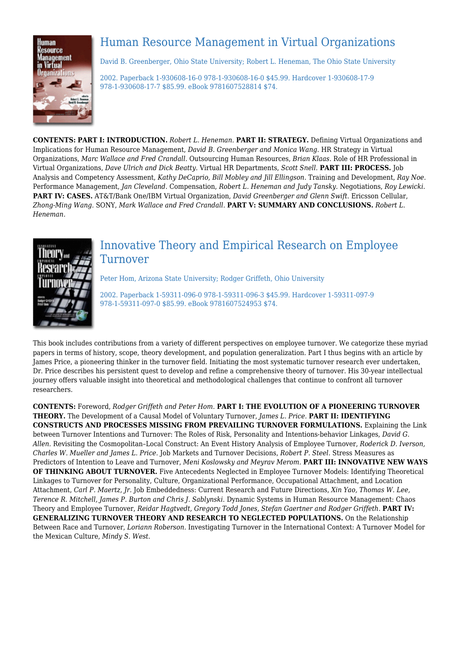

# Human Resource Management in Virtual Organizations

David B. Greenberger, Ohio State University; Robert L. Heneman, The Ohio State University

2002. Paperback 1-930608-16-0 978-1-930608-16-0 \$45.99. Hardcover 1-930608-17-9 978-1-930608-17-7 \$85.99. eBook 9781607528814 \$74.

**CONTENTS: PART I: INTRODUCTION.** *Robert L. Heneman.* **PART II: STRATEGY.** Defining Virtual Organizations and Implications for Human Resource Management, *David B. Greenberger and Monica Wang.* HR Strategy in Virtual Organizations, *Marc Wallace and Fred Crandall.* Outsourcing Human Resources, *Brian Klaas.* Role of HR Professional in Virtual Organizations, *Dave Ulrich and Dick Beatty.* Virtual HR Departments, *Scott Snell.* **PART III: PROCESS.** Job Analysis and Competency Assessment, *Kathy DeCaprio, Bill Mobley and Jill Ellingson.* Training and Development, *Ray Noe.* Performance Management, *Jan Cleveland.* Compensation, *Robert L. Heneman and Judy Tansky.* Negotiations, *Roy Lewicki.* **PART IV: CASES.** AT&T/Bank One/IBM Virtual Organization, *David Greenberger and Glenn Swift.* Ericsson Cellular, *Zhong-Ming Wang.* SONY, *Mark Wallace and Fred Crandall.* **PART V: SUMMARY AND CONCLUSIONS.** *Robert L. Heneman.*



### Innovative Theory and Empirical Research on Employee Turnover

Peter Hom, Arizona State University; Rodger Griffeth, Ohio University

2002. Paperback 1-59311-096-0 978-1-59311-096-3 \$45.99. Hardcover 1-59311-097-9 978-1-59311-097-0 \$85.99. eBook 9781607524953 \$74.

This book includes contributions from a variety of different perspectives on employee turnover. We categorize these myriad papers in terms of history, scope, theory development, and population generalization. Part I thus begins with an article by James Price, a pioneering thinker in the turnover field. Initiating the most systematic turnover research ever undertaken, Dr. Price describes his persistent quest to develop and refine a comprehensive theory of turnover. His 30-year intellectual journey offers valuable insight into theoretical and methodological challenges that continue to confront all turnover researchers.

**CONTENTS:** Foreword, *Rodger Griffeth and Peter Hom.* **PART I: THE EVOLUTION OF A PIONEERING TURNOVER THEORY.** The Development of a Causal Model of Voluntary Turnover, *James L. Price.* **PART II: IDENTIFYING CONSTRUCTS AND PROCESSES MISSING FROM PREVAILING TURNOVER FORMULATIONS.** Explaining the Link between Turnover Intentions and Turnover: The Roles of Risk, Personality and Intentions-behavior Linkages, *David G. Allen.* Revisiting the Cosmopolitan–Local Construct: An Event History Analysis of Employee Turnover, *Roderick D. Iverson, Charles W. Mueller and James L. Price.* Job Markets and Turnover Decisions, *Robert P. Steel.* Stress Measures as Predictors of Intention to Leave and Turnover, *Meni Koslowsky and Meyrav Merom.* **PART III: INNOVATIVE NEW WAYS OF THINKING ABOUT TURNOVER.** Five Antecedents Neglected in Employee Turnover Models: Identifying Theoretical Linkages to Turnover for Personality, Culture, Organizational Performance, Occupational Attachment, and Location Attachment, *Carl P. Maertz, Jr.* Job Embeddedness: Current Research and Future Directions, *Xin Yao, Thomas W. Lee, Terence R. Mitchell, James P. Burton and Chris J. Sablynski.* Dynamic Systems in Human Resource Management: Chaos Theory and Employee Turnover, *Reidar Hagtvedt, Gregory Todd Jones, Stefan Gaertner and Rodger Griffeth.* **PART IV: GENERALIZING TURNOVER THEORY AND RESEARCH TO NEGLECTED POPULATIONS.** On the Relationship Between Race and Turnover, *Loriann Roberson.* Investigating Turnover in the International Context: A Turnover Model for the Mexican Culture, *Mindy S. West.*